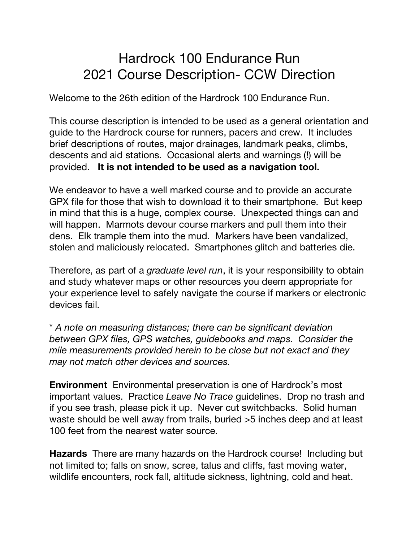# Hardrock 100 Endurance Run 2021 Course Description- CCW Direction

Welcome to the 26th edition of the Hardrock 100 Endurance Run.

This course description is intended to be used as a general orientation and guide to the Hardrock course for runners, pacers and crew. It includes brief descriptions of routes, major drainages, landmark peaks, climbs, descents and aid stations. Occasional alerts and warnings (!) will be provided. **It is not intended to be used as a navigation tool.**

We endeavor to have a well marked course and to provide an accurate GPX file for those that wish to download it to their smartphone. But keep in mind that this is a huge, complex course. Unexpected things can and will happen. Marmots devour course markers and pull them into their dens. Elk trample them into the mud. Markers have been vandalized, stolen and maliciously relocated. Smartphones glitch and batteries die.

Therefore, as part of a *graduate level run*, it is your responsibility to obtain and study whatever maps or other resources you deem appropriate for your experience level to safely navigate the course if markers or electronic devices fail.

\* *A note on measuring distances; there can be significant deviation between GPX files, GPS watches, guidebooks and maps. Consider the mile measurements provided herein to be close but not exact and they may not match other devices and sources.*

**Environment** Environmental preservation is one of Hardrock's most important values. Practice *Leave No Trace* guidelines. Drop no trash and if you see trash, please pick it up. Never cut switchbacks. Solid human waste should be well away from trails, buried >5 inches deep and at least 100 feet from the nearest water source.

**Hazards** There are many hazards on the Hardrock course! Including but not limited to; falls on snow, scree, talus and cliffs, fast moving water, wildlife encounters, rock fall, altitude sickness, lightning, cold and heat.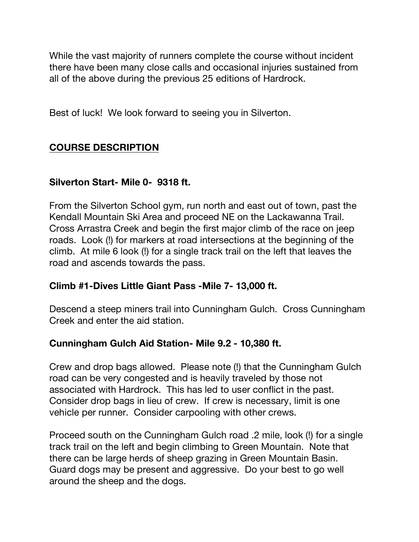While the vast majority of runners complete the course without incident there have been many close calls and occasional injuries sustained from all of the above during the previous 25 editions of Hardrock.

Best of luck! We look forward to seeing you in Silverton.

# **COURSE DESCRIPTION**

#### **Silverton Start- Mile 0- 9318 ft.**

From the Silverton School gym, run north and east out of town, past the Kendall Mountain Ski Area and proceed NE on the Lackawanna Trail. Cross Arrastra Creek and begin the first major climb of the race on jeep roads. Look (!) for markers at road intersections at the beginning of the climb. At mile 6 look (!) for a single track trail on the left that leaves the road and ascends towards the pass.

#### **Climb #1-Dives Little Giant Pass -Mile 7- 13,000 ft.**

Descend a steep miners trail into Cunningham Gulch. Cross Cunningham Creek and enter the aid station.

#### **Cunningham Gulch Aid Station- Mile 9.2 - 10,380 ft.**

Crew and drop bags allowed. Please note (!) that the Cunningham Gulch road can be very congested and is heavily traveled by those not associated with Hardrock. This has led to user conflict in the past. Consider drop bags in lieu of crew. If crew is necessary, limit is one vehicle per runner. Consider carpooling with other crews.

Proceed south on the Cunningham Gulch road .2 mile, look (!) for a single track trail on the left and begin climbing to Green Mountain. Note that there can be large herds of sheep grazing in Green Mountain Basin. Guard dogs may be present and aggressive. Do your best to go well around the sheep and the dogs.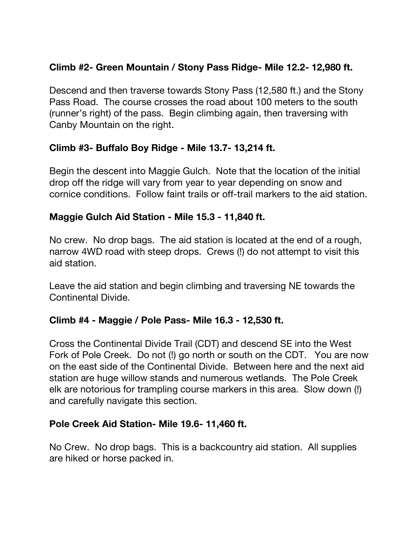# **Climb #2- Green Mountain / Stony Pass Ridge- Mile 12.2- 12,980 ft.**

Descend and then traverse towards Stony Pass (12,580 ft.) and the Stony Pass Road. The course crosses the road about 100 meters to the south (runner's right) of the pass. Begin climbing again, then traversing with Canby Mountain on the right.

# **Climb #3- Buffalo Boy Ridge - Mile 13.7- 13,214 ft.**

Begin the descent into Maggie Gulch. Note that the location of the initial drop off the ridge will vary from year to year depending on snow and cornice conditions. Follow faint trails or off-trail markers to the aid station.

# **Maggie Gulch Aid Station - Mile 15.3 - 11,840 ft.**

No crew. No drop bags. The aid station is located at the end of a rough, narrow 4WD road with steep drops. Crews (!) do not attempt to visit this aid station.

Leave the aid station and begin climbing and traversing NE towards the Continental Divide.

# **Climb #4 - Maggie / Pole Pass- Mile 16.3 - 12,530 ft.**

Cross the Continental Divide Trail (CDT) and descend SE into the West Fork of Pole Creek. Do not (!) go north or south on the CDT. You are now on the east side of the Continental Divide. Between here and the next aid station are huge willow stands and numerous wetlands. The Pole Creek elk are notorious for trampling course markers in this area. Slow down (!) and carefully navigate this section.

#### **Pole Creek Aid Station- Mile 19.6- 11,460 ft.**

No Crew. No drop bags. This is a backcountry aid station. All supplies are hiked or horse packed in.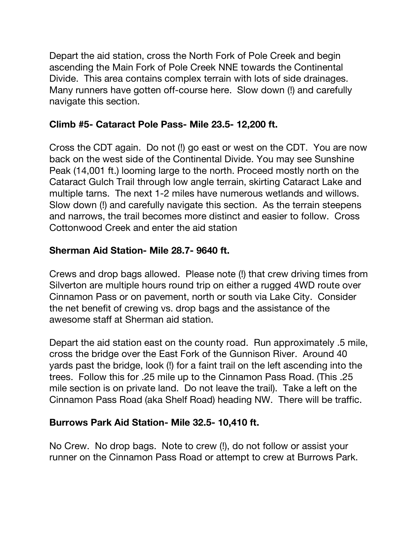Depart the aid station, cross the North Fork of Pole Creek and begin ascending the Main Fork of Pole Creek NNE towards the Continental Divide. This area contains complex terrain with lots of side drainages. Many runners have gotten off-course here. Slow down (!) and carefully navigate this section.

# **Climb #5- Cataract Pole Pass- Mile 23.5- 12,200 ft.**

Cross the CDT again. Do not (!) go east or west on the CDT. You are now back on the west side of the Continental Divide. You may see Sunshine Peak (14,001 ft.) looming large to the north. Proceed mostly north on the Cataract Gulch Trail through low angle terrain, skirting Cataract Lake and multiple tarns. The next 1-2 miles have numerous wetlands and willows. Slow down (!) and carefully navigate this section. As the terrain steepens and narrows, the trail becomes more distinct and easier to follow. Cross Cottonwood Creek and enter the aid station

# **Sherman Aid Station- Mile 28.7- 9640 ft.**

Crews and drop bags allowed. Please note (!) that crew driving times from Silverton are multiple hours round trip on either a rugged 4WD route over Cinnamon Pass or on pavement, north or south via Lake City. Consider the net benefit of crewing vs. drop bags and the assistance of the awesome staff at Sherman aid station.

Depart the aid station east on the county road. Run approximately .5 mile, cross the bridge over the East Fork of the Gunnison River. Around 40 yards past the bridge, look (!) for a faint trail on the left ascending into the trees. Follow this for .25 mile up to the Cinnamon Pass Road. (This .25 mile section is on private land. Do not leave the trail). Take a left on the Cinnamon Pass Road (aka Shelf Road) heading NW. There will be traffic.

#### **Burrows Park Aid Station- Mile 32.5- 10,410 ft.**

No Crew. No drop bags. Note to crew (!), do not follow or assist your runner on the Cinnamon Pass Road or attempt to crew at Burrows Park.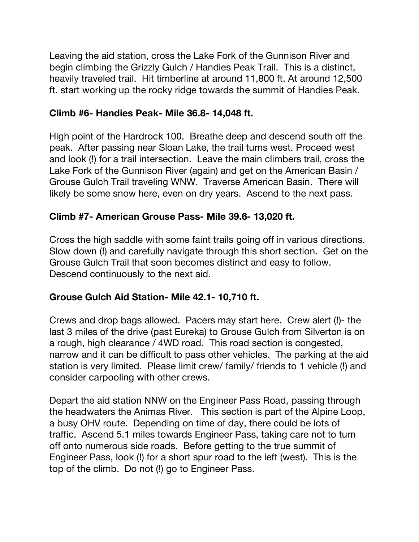Leaving the aid station, cross the Lake Fork of the Gunnison River and begin climbing the Grizzly Gulch / Handies Peak Trail. This is a distinct, heavily traveled trail. Hit timberline at around 11,800 ft. At around 12,500 ft. start working up the rocky ridge towards the summit of Handies Peak.

#### **Climb #6- Handies Peak- Mile 36.8- 14,048 ft.**

High point of the Hardrock 100. Breathe deep and descend south off the peak. After passing near Sloan Lake, the trail turns west. Proceed west and look (!) for a trail intersection. Leave the main climbers trail, cross the Lake Fork of the Gunnison River (again) and get on the American Basin / Grouse Gulch Trail traveling WNW. Traverse American Basin. There will likely be some snow here, even on dry years. Ascend to the next pass.

# **Climb #7- American Grouse Pass- Mile 39.6- 13,020 ft.**

Cross the high saddle with some faint trails going off in various directions. Slow down (!) and carefully navigate through this short section. Get on the Grouse Gulch Trail that soon becomes distinct and easy to follow. Descend continuously to the next aid.

#### **Grouse Gulch Aid Station- Mile 42.1- 10,710 ft.**

Crews and drop bags allowed. Pacers may start here. Crew alert (!)- the last 3 miles of the drive (past Eureka) to Grouse Gulch from Silverton is on a rough, high clearance / 4WD road. This road section is congested, narrow and it can be difficult to pass other vehicles. The parking at the aid station is very limited. Please limit crew/ family/ friends to 1 vehicle (!) and consider carpooling with other crews.

Depart the aid station NNW on the Engineer Pass Road, passing through the headwaters the Animas River. This section is part of the Alpine Loop, a busy OHV route. Depending on time of day, there could be lots of traffic. Ascend 5.1 miles towards Engineer Pass, taking care not to turn off onto numerous side roads. Before getting to the true summit of Engineer Pass, look (!) for a short spur road to the left (west). This is the top of the climb. Do not (!) go to Engineer Pass.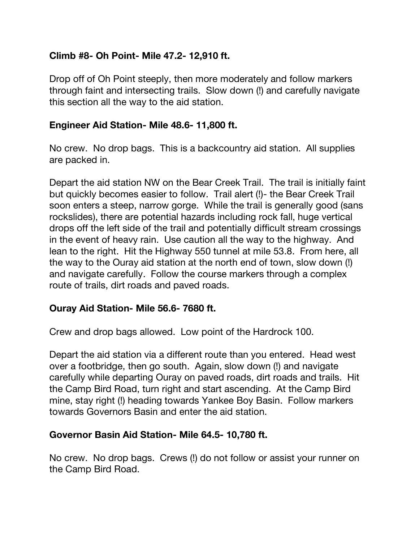# **Climb #8- Oh Point- Mile 47.2- 12,910 ft.**

Drop off of Oh Point steeply, then more moderately and follow markers through faint and intersecting trails. Slow down (!) and carefully navigate this section all the way to the aid station.

#### **Engineer Aid Station- Mile 48.6- 11,800 ft.**

No crew. No drop bags. This is a backcountry aid station. All supplies are packed in.

Depart the aid station NW on the Bear Creek Trail. The trail is initially faint but quickly becomes easier to follow. Trail alert (!)- the Bear Creek Trail soon enters a steep, narrow gorge. While the trail is generally good (sans rockslides), there are potential hazards including rock fall, huge vertical drops off the left side of the trail and potentially difficult stream crossings in the event of heavy rain. Use caution all the way to the highway. And lean to the right. Hit the Highway 550 tunnel at mile 53.8. From here, all the way to the Ouray aid station at the north end of town, slow down (!) and navigate carefully. Follow the course markers through a complex route of trails, dirt roads and paved roads.

#### **Ouray Aid Station- Mile 56.6- 7680 ft.**

Crew and drop bags allowed. Low point of the Hardrock 100.

Depart the aid station via a different route than you entered. Head west over a footbridge, then go south. Again, slow down (!) and navigate carefully while departing Ouray on paved roads, dirt roads and trails. Hit the Camp Bird Road, turn right and start ascending. At the Camp Bird mine, stay right (!) heading towards Yankee Boy Basin. Follow markers towards Governors Basin and enter the aid station.

#### **Governor Basin Aid Station- Mile 64.5- 10,780 ft.**

No crew. No drop bags. Crews (!) do not follow or assist your runner on the Camp Bird Road.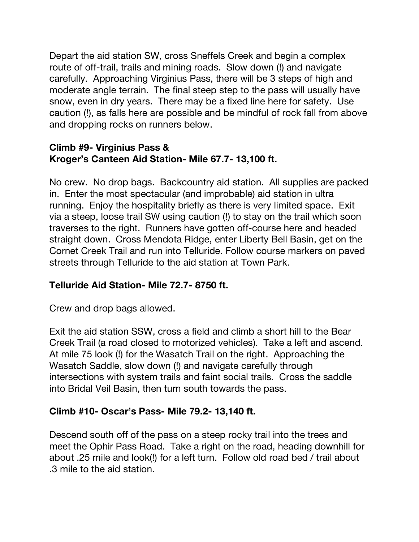Depart the aid station SW, cross Sneffels Creek and begin a complex route of off-trail, trails and mining roads. Slow down (!) and navigate carefully. Approaching Virginius Pass, there will be 3 steps of high and moderate angle terrain. The final steep step to the pass will usually have snow, even in dry years. There may be a fixed line here for safety. Use caution (!), as falls here are possible and be mindful of rock fall from above and dropping rocks on runners below.

# **Climb #9- Virginius Pass & Kroger's Canteen Aid Station- Mile 67.7- 13,100 ft.**

No crew. No drop bags. Backcountry aid station. All supplies are packed in.Enter the most spectacular (and improbable) aid station in ultra running. Enjoy the hospitality briefly as there is very limited space. Exit via a steep, loose trail SW using caution (!) to stay on the trail which soon traverses to the right. Runners have gotten off-course here and headed straight down. Cross Mendota Ridge, enter Liberty Bell Basin, get on the Cornet Creek Trail and run into Telluride. Follow course markers on paved streets through Telluride to the aid station at Town Park.

# **Telluride Aid Station- Mile 72.7- 8750 ft.**

Crew and drop bags allowed.

Exit the aid station SSW, cross a field and climb a short hill to the Bear Creek Trail (a road closed to motorized vehicles). Take a left and ascend. At mile 75 look (!) for the Wasatch Trail on the right. Approaching the Wasatch Saddle, slow down (!) and navigate carefully through intersections with system trails and faint social trails. Cross the saddle into Bridal Veil Basin, then turn south towards the pass.

# **Climb #10- Oscar's Pass- Mile 79.2- 13,140 ft.**

Descend south off of the pass on a steep rocky trail into the trees and meet the Ophir Pass Road. Take a right on the road, heading downhill for about .25 mile and look(!) for a left turn. Follow old road bed / trail about .3 mile to the aid station.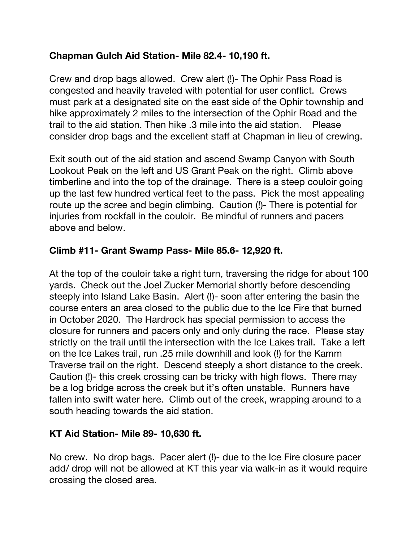# **Chapman Gulch Aid Station- Mile 82.4- 10,190 ft.**

Crew and drop bags allowed. Crew alert (!)- The Ophir Pass Road is congested and heavily traveled with potential for user conflict. Crews must park at a designated site on the east side of the Ophir township and hike approximately 2 miles to the intersection of the Ophir Road and the trail to the aid station. Then hike .3 mile into the aid station. Please consider drop bags and the excellent staff at Chapman in lieu of crewing.

Exit south out of the aid station and ascend Swamp Canyon with South Lookout Peak on the left and US Grant Peak on the right. Climb above timberline and into the top of the drainage. There is a steep couloir going up the last few hundred vertical feet to the pass. Pick the most appealing route up the scree and begin climbing. Caution (!)- There is potential for injuries from rockfall in the couloir. Be mindful of runners and pacers above and below.

# **Climb #11- Grant Swamp Pass- Mile 85.6- 12,920 ft.**

At the top of the couloir take a right turn, traversing the ridge for about 100 yards. Check out the Joel Zucker Memorial shortly before descending steeply into Island Lake Basin. Alert (!)- soon after entering the basin the course enters an area closed to the public due to the Ice Fire that burned in October 2020. The Hardrock has special permission to access the closure for runners and pacers only and only during the race. Please stay strictly on the trail until the intersection with the Ice Lakes trail. Take a left on the Ice Lakes trail, run .25 mile downhill and look (!) for the Kamm Traverse trail on the right. Descend steeply a short distance to the creek. Caution (!)- this creek crossing can be tricky with high flows. There may be a log bridge across the creek but it's often unstable. Runners have fallen into swift water here. Climb out of the creek, wrapping around to a south heading towards the aid station.

# **KT Aid Station- Mile 89- 10,630 ft.**

No crew. No drop bags. Pacer alert (!)- due to the Ice Fire closure pacer add/ drop will not be allowed at KT this year via walk-in as it would require crossing the closed area.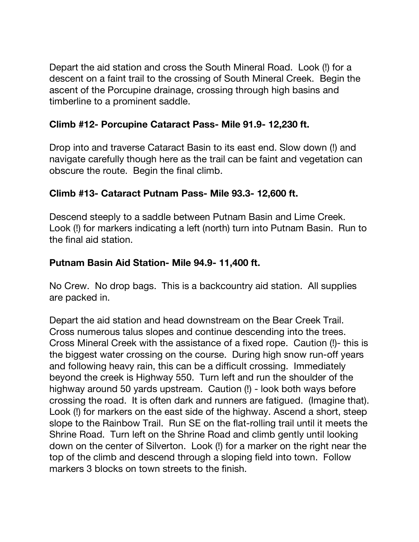Depart the aid station and cross the South Mineral Road. Look (!) for a descent on a faint trail to the crossing of South Mineral Creek. Begin the ascent of the Porcupine drainage, crossing through high basins and timberline to a prominent saddle.

# **Climb #12- Porcupine Cataract Pass- Mile 91.9- 12,230 ft.**

Drop into and traverse Cataract Basin to its east end. Slow down (!) and navigate carefully though here as the trail can be faint and vegetation can obscure the route. Begin the final climb.

# **Climb #13- Cataract Putnam Pass- Mile 93.3- 12,600 ft.**

Descend steeply to a saddle between Putnam Basin and Lime Creek. Look (!) for markers indicating a left (north) turn into Putnam Basin. Run to the final aid station.

# **Putnam Basin Aid Station- Mile 94.9- 11,400 ft.**

No Crew. No drop bags. This is a backcountry aid station. All supplies are packed in.

Depart the aid station and head downstream on the Bear Creek Trail. Cross numerous talus slopes and continue descending into the trees. Cross Mineral Creek with the assistance of a fixed rope. Caution (!)- this is the biggest water crossing on the course. During high snow run-off years and following heavy rain, this can be a difficult crossing. Immediately beyond the creek is Highway 550. Turn left and run the shoulder of the highway around 50 yards upstream. Caution (!) - look both ways before crossing the road. It is often dark and runners are fatigued. (Imagine that). Look (!) for markers on the east side of the highway. Ascend a short, steep slope to the Rainbow Trail. Run SE on the flat-rolling trail until it meets the Shrine Road. Turn left on the Shrine Road and climb gently until looking down on the center of Silverton. Look (!) for a marker on the right near the top of the climb and descend through a sloping field into town. Follow markers 3 blocks on town streets to the finish.